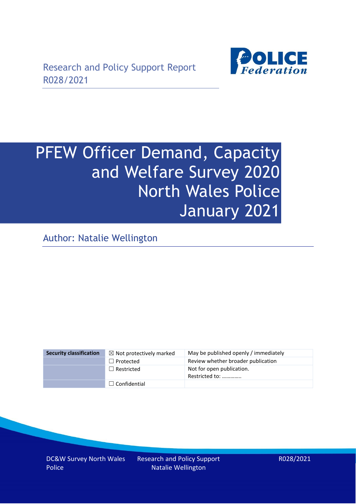

# PFEW Officer Demand, Capacity and Welfare Survey 2020 North Wales Police January 2021

Author: Natalie Wellington

| <b>Security classification</b> | $\boxtimes$ Not protectively marked | May be published openly / immediately       |
|--------------------------------|-------------------------------------|---------------------------------------------|
|                                | $\Box$ Protected                    | Review whether broader publication          |
|                                | $\Box$ Restricted                   | Not for open publication.<br>Restricted to: |
|                                | $\Box$ Confidential                 |                                             |

DC&W Survey North Wales Police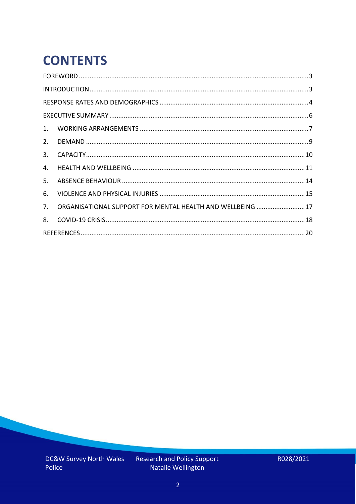# **CONTENTS**

| 2.          |                                                            |  |
|-------------|------------------------------------------------------------|--|
| 3.          |                                                            |  |
| 4.          |                                                            |  |
| 5.          |                                                            |  |
| 6.          |                                                            |  |
| $7_{\cdot}$ | ORGANISATIONAL SUPPORT FOR MENTAL HEALTH AND WELLBEING  17 |  |
| 8.          |                                                            |  |
|             |                                                            |  |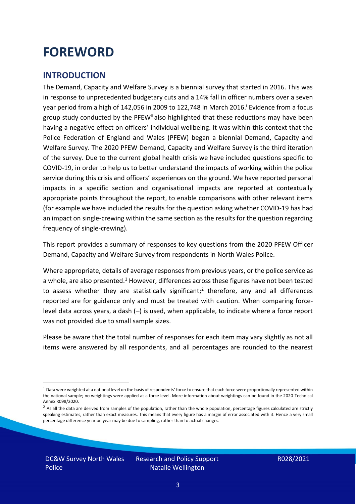### <span id="page-2-0"></span>**FOREWORD**

#### <span id="page-2-1"></span>**INTRODUCTION**

The Demand, Capacity and Welfare Survey is a biennial survey that started in 2016. This was in response to unprecedented budgetary cuts and a 14% fall in officer numbers over a seven year period from a high of 142,056 in 2009 to 122,748 in March 2016. <sup>i</sup> Evidence from a focus group study conducted by the PFEW<sup>ii</sup> also highlighted that these reductions may have been having a negative effect on officers' individual wellbeing. It was within this context that the Police Federation of England and Wales (PFEW) began a biennial Demand, Capacity and Welfare Survey. The 2020 PFEW Demand, Capacity and Welfare Survey is the third iteration of the survey. Due to the current global health crisis we have included questions specific to COVID-19, in order to help us to better understand the impacts of working within the police service during this crisis and officers' experiences on the ground. We have reported personal impacts in a specific section and organisational impacts are reported at contextually appropriate points throughout the report, to enable comparisons with other relevant items (for example we have included the results for the question asking whether COVID-19 has had an impact on single-crewing within the same section as the results for the question regarding frequency of single-crewing).

This report provides a summary of responses to key questions from the 2020 PFEW Officer Demand, Capacity and Welfare Survey from respondents in North Wales Police.

Where appropriate, details of average responses from previous years, or the police service as a whole, are also presented.<sup>1</sup> However, differences across these figures have not been tested to assess whether they are statistically significant;<sup>2</sup> therefore, any and all differences reported are for guidance only and must be treated with caution. When comparing forcelevel data across years, a dash (–) is used, when applicable, to indicate where a force report was not provided due to small sample sizes.

Please be aware that the total number of responses for each item may vary slightly as not all items were answered by all respondents, and all percentages are rounded to the nearest

 $1$  Data were weighted at a national level on the basis of respondents' force to ensure that each force were proportionally represented within the national sample; no weightings were applied at a force level. More information about weightings can be found in the 2020 Technical Annex R098/2020.

 $2$  As all the data are derived from samples of the population, rather than the whole population, percentage figures calculated are strictly speaking estimates, rather than exact measures. This means that every figure has a margin of error associated with it. Hence a very small percentage difference year on year may be due to sampling, rather than to actual changes.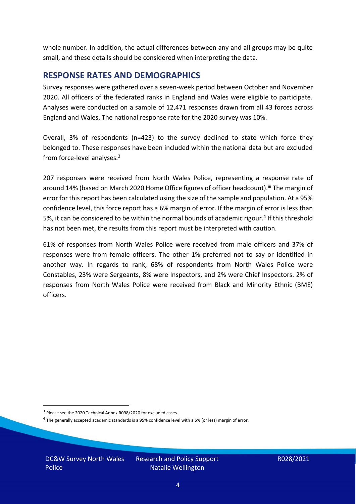whole number. In addition, the actual differences between any and all groups may be quite small, and these details should be considered when interpreting the data.

#### <span id="page-3-0"></span>**RESPONSE RATES AND DEMOGRAPHICS**

Survey responses were gathered over a seven-week period between October and November 2020. All officers of the federated ranks in England and Wales were eligible to participate. Analyses were conducted on a sample of 12,471 responses drawn from all 43 forces across England and Wales. The national response rate for the 2020 survey was 10%.

Overall, 3% of respondents (n=423) to the survey declined to state which force they belonged to. These responses have been included within the national data but are excluded from force-level analyses.<sup>3</sup>

207 responses were received from North Wales Police, representing a response rate of around 14% (based on March 2020 Home Office figures of officer headcount).<sup>iii</sup> The margin of error for this report has been calculated using the size of the sample and population. At a 95% confidence level, this force report has a 6% margin of error. If the margin of error is less than 5%, it can be considered to be within the normal bounds of academic rigour.<sup>4</sup> If this threshold has not been met, the results from this report must be interpreted with caution.

61% of responses from North Wales Police were received from male officers and 37% of responses were from female officers. The other 1% preferred not to say or identified in another way. In regards to rank, 68% of respondents from North Wales Police were Constables, 23% were Sergeants, 8% were Inspectors, and 2% were Chief Inspectors. 2% of responses from North Wales Police were received from Black and Minority Ethnic (BME) officers.

DC&W Survey North Wales Police

<sup>&</sup>lt;sup>3</sup> Please see the 2020 Technical Annex R098/2020 for excluded cases.

<sup>&</sup>lt;sup>4</sup> The generally accepted academic standards is a 95% confidence level with a 5% (or less) margin of error.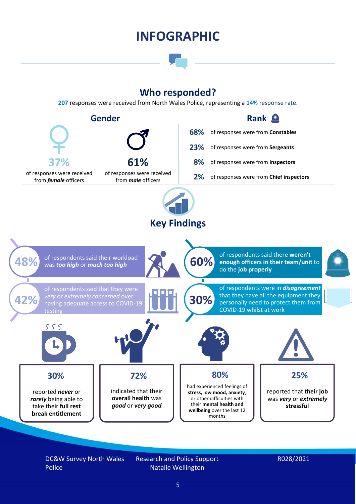### **INFOGRAPHIC**

### **Who responded?**

**207** responses were received from North Wales Police, representing a **14%** response rate.



DC&W Survey North Wales Police

Research and Policy Support Natalie Wellington

#### R028/2021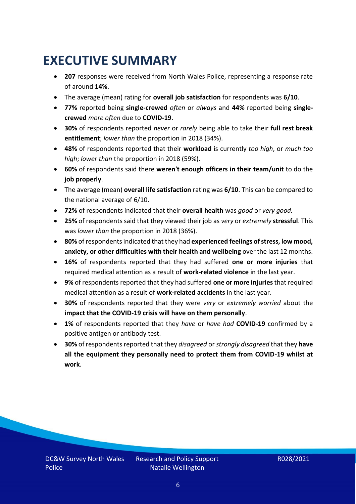### <span id="page-5-0"></span>**EXECUTIVE SUMMARY**

- **207** responses were received from North Wales Police, representing a response rate of around **14%**.
- The average (mean) rating for **overall job satisfaction** for respondents was **6/10**.
- **77%** reported being **single-crewed** *often* or *always* and **44%** reported being **singlecrewed** *more often* due to **COVID-19**.
- **30%** of respondents reported *never* or *rarely* being able to take their **full rest break entitlement**; *lower than* the proportion in 2018 (34%).
- **48%** of respondents reported that their **workload** is currently *too high*, or *much too high*; *lower than* the proportion in 2018 (59%).
- **60%** of respondents said there **weren't enough officers in their team/unit** to do the **job properly**.
- The average (mean) **overall life satisfaction** rating was **6/10**. This can be compared to the national average of 6/10.
- **72%** of respondents indicated that their **overall health** was *good* or *very good.*
- **25%** of respondents said that they viewed their job as *very* or *extremely* **stressful**. This was *lower than* the proportion in 2018 (36%).
- **80%** of respondents indicated that they had **experienced feelings of stress, low mood, anxiety, or other difficulties with their health and wellbeing** over the last 12 months.
- **16%** of respondents reported that they had suffered **one or more injuries** that required medical attention as a result of **work-related violence** in the last year.
- **9%** of respondents reported that they had suffered **one or more injuries**that required medical attention as a result of **work-related accidents** in the last year.
- **30%** of respondents reported that they were *very* or *extremely worried* about the **impact that the COVID-19 crisis will have on them personally**.
- **1%** of respondents reported that they *have* or *have had* **COVID-19** confirmed by a positive antigen or antibody test.
- **30%** of respondents reported that they *disagreed* or *strongly disagreed* that they **have all the equipment they personally need to protect them from COVID-19 whilst at work**.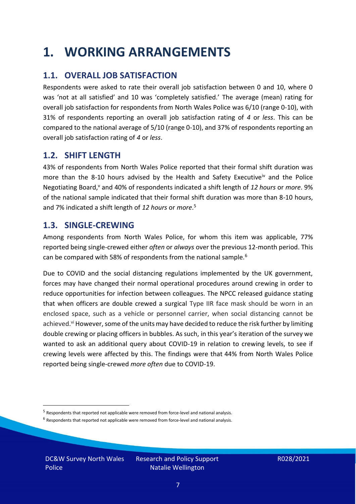### <span id="page-6-0"></span>**1. WORKING ARRANGEMENTS**

### **1.1. OVERALL JOB SATISFACTION**

Respondents were asked to rate their overall job satisfaction between 0 and 10, where 0 was 'not at all satisfied' and 10 was 'completely satisfied.' The average (mean) rating for overall job satisfaction for respondents from North Wales Police was 6/10 (range 0-10), with 31% of respondents reporting an overall job satisfaction rating of *4* or *less*. This can be compared to the national average of 5/10 (range 0-10), and 37% of respondents reporting an overall job satisfaction rating of *4* or *less*.

### **1.2. SHIFT LENGTH**

43% of respondents from North Wales Police reported that their formal shift duration was more than the 8-10 hours advised by the Health and Safety Executive<sup>iv</sup> and the Police Negotiating Board,<sup>v</sup> and 40% of respondents indicated a shift length of 12 hours or *more*. 9% of the national sample indicated that their formal shift duration was more than 8-10 hours, and 7% indicated a shift length of *12 hours* or *more*. 5

#### **1.3. SINGLE-CREWING**

Among respondents from North Wales Police, for whom this item was applicable, 77% reported being single-crewed either *often* or *always* over the previous 12-month period. This can be compared with 58% of respondents from the national sample.<sup>6</sup>

Due to COVID and the social distancing regulations implemented by the UK government, forces may have changed their normal operational procedures around crewing in order to reduce opportunities for infection between colleagues. The NPCC released guidance stating that when officers are double crewed a surgical Type IIR face mask should be worn in an enclosed space, such as a vehicle or personnel carrier, when social distancing cannot be achieved.<sup>vi</sup> However, some of the units may have decided to reduce the risk further by limiting double crewing or placing officers in bubbles. As such, in this year's iteration of the survey we wanted to ask an additional query about COVID-19 in relation to crewing levels, to see if crewing levels were affected by this. The findings were that 44% from North Wales Police reported being single-crewed *more often* due to COVID-19.

DC&W Survey North Wales Police

<sup>&</sup>lt;sup>5</sup> Respondents that reported not applicable were removed from force-level and national analysis.

 $<sup>6</sup>$  Respondents that reported not applicable were removed from force-level and national analysis.</sup>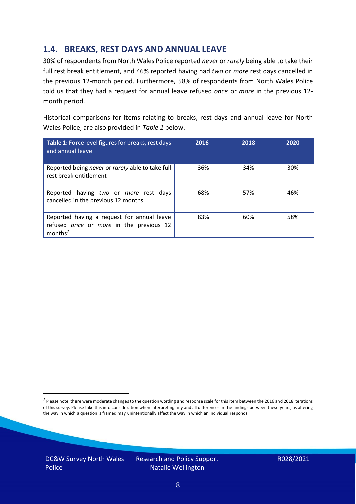### **1.4. BREAKS, REST DAYS AND ANNUAL LEAVE**

30% of respondents from North Wales Police reported *never* or *rarely* being able to take their full rest break entitlement, and 46% reported having had *two* or *more* rest days cancelled in the previous 12-month period. Furthermore, 58% of respondents from North Wales Police told us that they had a request for annual leave refused *once* or *more* in the previous 12 month period.

Historical comparisons for items relating to breaks, rest days and annual leave for North Wales Police, are also provided in *Table 1* below.

| Table 1: Force level figures for breaks, rest days<br>and annual leave                                       | 2016 | 2018 | 2020 |
|--------------------------------------------------------------------------------------------------------------|------|------|------|
| Reported being never or rarely able to take full<br>rest break entitlement                                   | 36%  | 34%  | 30%  |
| Reported having two or more rest days<br>cancelled in the previous 12 months                                 | 68%  | 57%  | 46%  |
| Reported having a request for annual leave<br>refused once or more in the previous 12<br>months <sup>7</sup> | 83%  | 60%  | 58%  |

DC&W Survey North Wales Police

<sup>&</sup>lt;sup>7</sup> Please note, there were moderate changes to the question wording and response scale for this item between the 2016 and 2018 iterations of this survey. Please take this into consideration when interpreting any and all differences in the findings between these years, as altering the way in which a question is framed may unintentionally affect the way in which an individual responds.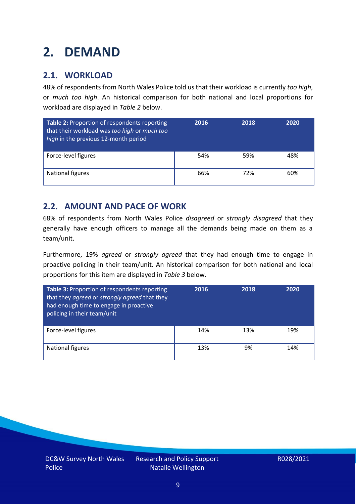# <span id="page-8-0"></span>**2. DEMAND**

### **2.1. WORKLOAD**

48% of respondents from North Wales Police told us that their workload is currently *too high*, or *much too high*. An historical comparison for both national and local proportions for workload are displayed in *Table 2* below.

| Table 2: Proportion of respondents reporting<br>that their workload was too high or much too<br>high in the previous 12-month period | 2016 | 2018 | 2020 |
|--------------------------------------------------------------------------------------------------------------------------------------|------|------|------|
| Force-level figures                                                                                                                  | 54%  | 59%  | 48%  |
| <b>National figures</b>                                                                                                              | 66%  | 72%  | 60%  |

### **2.2. AMOUNT AND PACE OF WORK**

68% of respondents from North Wales Police *disagreed* or *strongly disagreed* that they generally have enough officers to manage all the demands being made on them as a team/unit.

Furthermore, 19% *agreed* or *strongly agreed* that they had enough time to engage in proactive policing in their team/unit. An historical comparison for both national and local proportions for this item are displayed in *Table 3* below.

| Table 3: Proportion of respondents reporting<br>that they agreed or strongly agreed that they<br>had enough time to engage in proactive<br>policing in their team/unit | 2016 | 2018 | 2020 |
|------------------------------------------------------------------------------------------------------------------------------------------------------------------------|------|------|------|
| Force-level figures                                                                                                                                                    | 14%  | 13%  | 19%  |
| National figures                                                                                                                                                       | 13%  | 9%   | 14%  |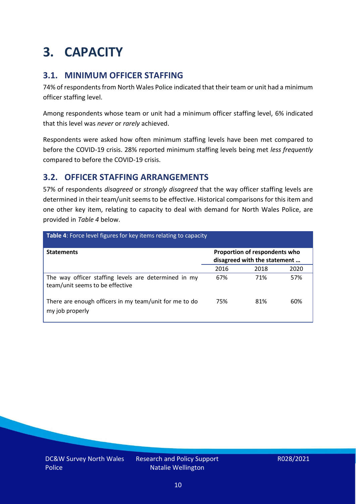# <span id="page-9-0"></span>**3. CAPACITY**

### **3.1. MINIMUM OFFICER STAFFING**

74% of respondents from North Wales Police indicated that their team or unit had a minimum officer staffing level.

Among respondents whose team or unit had a minimum officer staffing level, 6% indicated that this level was *never* or *rarely* achieved.

Respondents were asked how often minimum staffing levels have been met compared to before the COVID-19 crisis. 28% reported minimum staffing levels being met *less frequently* compared to before the COVID-19 crisis.

### **3.2. OFFICER STAFFING ARRANGEMENTS**

57% of respondents *disagreed* or *strongly disagreed* that the way officer staffing levels are determined in their team/unit seems to be effective. Historical comparisons for this item and one other key item, relating to capacity to deal with demand for North Wales Police, are provided in *Table 4* below.

| <b>Table 4:</b> Force level figures for key items relating to capacity                  |                                                               |      |      |  |
|-----------------------------------------------------------------------------------------|---------------------------------------------------------------|------|------|--|
| <b>Statements</b>                                                                       | Proportion of respondents who<br>disagreed with the statement |      |      |  |
|                                                                                         | 2016                                                          | 2018 | 2020 |  |
| The way officer staffing levels are determined in my<br>team/unit seems to be effective | 67%                                                           | 71%  | 57%  |  |
| There are enough officers in my team/unit for me to do<br>my job properly               | 75%                                                           | 81%  | 60%  |  |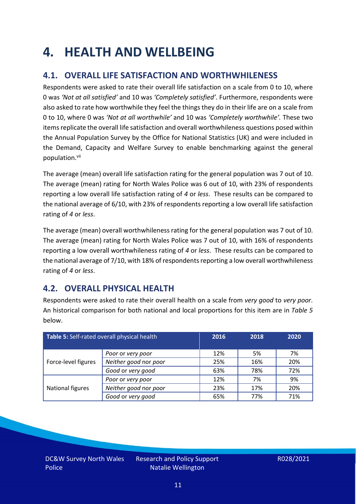### <span id="page-10-0"></span>**4. HEALTH AND WELLBEING**

### **4.1. OVERALL LIFE SATISFACTION AND WORTHWHILENESS**

Respondents were asked to rate their overall life satisfaction on a scale from 0 to 10, where 0 was *'Not at all satisfied'* and 10 was *'Completely satisfied'*. Furthermore, respondents were also asked to rate how worthwhile they feel the things they do in their life are on a scale from 0 to 10, where 0 was *'Not at all worthwhile'* and 10 was *'Completely worthwhile'.* These two items replicate the overall life satisfaction and overall worthwhileness questions posed within the Annual Population Survey by the Office for National Statistics (UK) and were included in the Demand, Capacity and Welfare Survey to enable benchmarking against the general population. vii

The average (mean) overall life satisfaction rating for the general population was 7 out of 10. The average (mean) rating for North Wales Police was 6 out of 10, with 23% of respondents reporting a low overall life satisfaction rating of *4* or *less*. These results can be compared to the national average of 6/10, with 23% of respondents reporting a low overall life satisfaction rating of *4* or *less*.

The average (mean) overall worthwhileness rating for the general population was 7 out of 10. The average (mean) rating for North Wales Police was 7 out of 10, with 16% of respondents reporting a low overall worthwhileness rating of *4* or *less*. These results can be compared to the national average of 7/10, with 18% of respondents reporting a low overall worthwhileness rating of *4* or *less*.

### **4.2. OVERALL PHYSICAL HEALTH**

Respondents were asked to rate their overall health on a scale from *very good* to *very poor*. An historical comparison for both national and local proportions for this item are in *Table 5* below.

| Table 5: Self-rated overall physical health |                       | 2016 | 2018 | 2020 |
|---------------------------------------------|-----------------------|------|------|------|
|                                             | Poor or very poor     | 12%  | 5%   | 7%   |
| Force-level figures                         | Neither good nor poor | 25%  | 16%  | 20%  |
|                                             | Good or very good     | 63%  | 78%  | 72%  |
|                                             | Poor or very poor     | 12%  | 7%   | 9%   |
| National figures                            | Neither good nor poor | 23%  | 17%  | 20%  |
|                                             | Good or very good     | 65%  | 77%  | 71%  |

DC&W Survey North Wales Police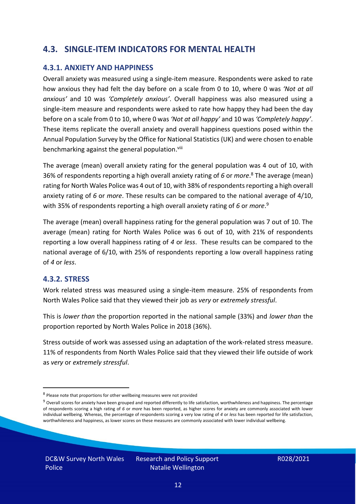#### **4.3. SINGLE-ITEM INDICATORS FOR MENTAL HEALTH**

#### **4.3.1. ANXIETY AND HAPPINESS**

Overall anxiety was measured using a single-item measure. Respondents were asked to rate how anxious they had felt the day before on a scale from 0 to 10, where 0 was *'Not at all anxious'* and 10 was *'Completely anxious'*. Overall happiness was also measured using a single-item measure and respondents were asked to rate how happy they had been the day before on a scale from 0 to 10, where 0 was *'Not at all happy'* and 10 was *'Completely happy'*. These items replicate the overall anxiety and overall happiness questions posed within the Annual Population Survey by the Office for National Statistics (UK) and were chosen to enable benchmarking against the general population.<sup>viii</sup>

The average (mean) overall anxiety rating for the general population was 4 out of 10, with 36% of respondents reporting a high overall anxiety rating of *6* or *more*. <sup>8</sup> The average (mean) rating for North Wales Police was 4 out of 10, with 38% of respondents reporting a high overall anxiety rating of *6* or *more*. These results can be compared to the national average of 4/10, with 35% of respondents reporting a high overall anxiety rating of *6* or *more*. 9

The average (mean) overall happiness rating for the general population was 7 out of 10. The average (mean) rating for North Wales Police was 6 out of 10, with 21% of respondents reporting a low overall happiness rating of *4* or *less*. These results can be compared to the national average of 6/10, with 25% of respondents reporting a low overall happiness rating of *4* or *less*.

#### **4.3.2. STRESS**

Work related stress was measured using a single-item measure. 25% of respondents from North Wales Police said that they viewed their job as *very* or *extremely stressful*.

This is *lower than* the proportion reported in the national sample (33%) and *lower than* the proportion reported by North Wales Police in 2018 (36%).

Stress outside of work was assessed using an adaptation of the work-related stress measure. 11% of respondents from North Wales Police said that they viewed their life outside of work as *very* or *extremely stressful*.

<sup>&</sup>lt;sup>8</sup> Please note that proportions for other wellbeing measures were not provided

 $9$  Overall scores for anxiety have been grouped and reported differently to life satisfaction, worthwhileness and happiness. The percentage of respondents scoring a high rating of *6* or *more* has been reported, as higher scores for anxiety are commonly associated with lower individual wellbeing. Whereas, the percentage of respondents scoring a very low rating of *4* or *less* has been reported for life satisfaction, worthwhileness and happiness, as lower scores on these measures are commonly associated with lower individual wellbeing.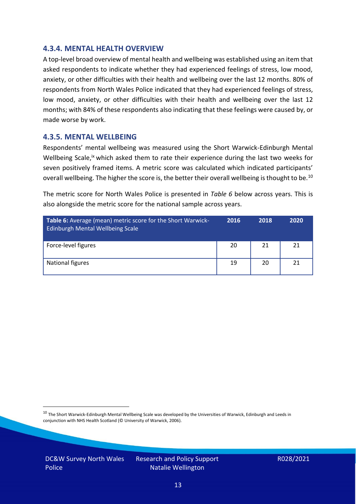#### **4.3.4. MENTAL HEALTH OVERVIEW**

A top-level broad overview of mental health and wellbeing was established using an item that asked respondents to indicate whether they had experienced feelings of stress, low mood, anxiety, or other difficulties with their health and wellbeing over the last 12 months. 80% of respondents from North Wales Police indicated that they had experienced feelings of stress, low mood, anxiety, or other difficulties with their health and wellbeing over the last 12 months; with 84% of these respondents also indicating that these feelings were caused by, or made worse by work.

#### **4.3.5. MENTAL WELLBEING**

Respondents' mental wellbeing was measured using the Short Warwick-Edinburgh Mental Wellbeing Scale,<sup>ix</sup> which asked them to rate their experience during the last two weeks for seven positively framed items. A metric score was calculated which indicated participants' overall wellbeing. The higher the score is, the better their overall wellbeing is thought to be.<sup>10</sup>

The metric score for North Wales Police is presented in *Table 6* below across years. This is also alongside the metric score for the national sample across years.

| <b>Table 6:</b> Average (mean) metric score for the Short Warwick-<br>Edinburgh Mental Wellbeing Scale | 2016 | 2018 | 2020 |
|--------------------------------------------------------------------------------------------------------|------|------|------|
| Force-level figures                                                                                    | 20   | 21   | 21   |
| National figures                                                                                       | 19   | 20   | 21   |

 $10$  The Short Warwick-Edinburgh Mental Wellbeing Scale was developed by the Universities of Warwick, Edinburgh and Leeds in conjunction with NHS Health Scotland (© University of Warwick, 2006).

DC&W Survey North Wales Police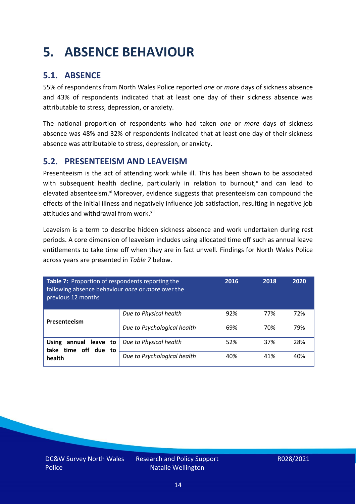# <span id="page-13-0"></span>**5. ABSENCE BEHAVIOUR**

### **5.1. ABSENCE**

55% of respondents from North Wales Police reported *one* or *more* days of sickness absence and 43% of respondents indicated that at least one day of their sickness absence was attributable to stress, depression, or anxiety.

The national proportion of respondents who had taken *one* or *more* days of sickness absence was 48% and 32% of respondents indicated that at least one day of their sickness absence was attributable to stress, depression, or anxiety.

#### **5.2. PRESENTEEISM AND LEAVEISM**

Presenteeism is the act of attending work while ill. This has been shown to be associated with subsequent health decline, particularly in relation to burnout, $x$  and can lead to elevated absenteeism.<sup>xi</sup> Moreover, evidence suggests that presenteeism can compound the effects of the initial illness and negatively influence job satisfaction, resulting in negative job attitudes and withdrawal from work.<sup>xii</sup>

Leaveism is a term to describe hidden sickness absence and work undertaken during rest periods. A core dimension of leaveism includes using allocated time off such as annual leave entitlements to take time off when they are in fact unwell. Findings for North Wales Police across years are presented in *Table 7* below.

| Table 7: Proportion of respondents reporting the<br>following absence behaviour once or more over the<br>previous 12 months |                             | 2016 | 2018 | 2020 |
|-----------------------------------------------------------------------------------------------------------------------------|-----------------------------|------|------|------|
| Presenteeism                                                                                                                | Due to Physical health      | 92%  | 77%  | 72%  |
|                                                                                                                             | Due to Psychological health | 69%  | 70%  | 79%  |
| annual leave to<br><b>Using</b><br>time off due to<br>take<br>health                                                        | Due to Physical health      | 52%  | 37%  | 28%  |
|                                                                                                                             | Due to Psychological health | 40%  | 41%  | 40%  |

DC&W Survey North Wales Police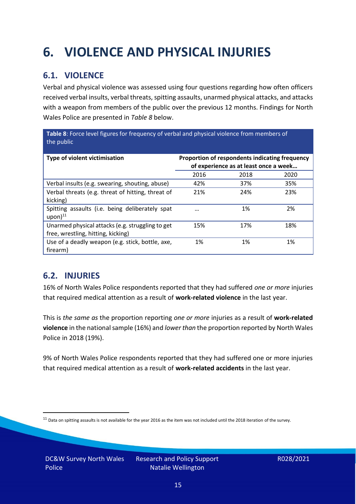# <span id="page-14-0"></span>**6. VIOLENCE AND PHYSICAL INJURIES**

### **6.1. VIOLENCE**

Verbal and physical violence was assessed using four questions regarding how often officers received verbal insults, verbal threats, spitting assaults, unarmed physical attacks, and attacks with a weapon from members of the public over the previous 12 months. Findings for North Wales Police are presented in *Table 8* below.

**Table 8**: Force level figures for frequency of verbal and physical violence from members of the public

| Type of violent victimisation                                                          | Proportion of respondents indicating frequency<br>of experience as at least once a week |      |      |
|----------------------------------------------------------------------------------------|-----------------------------------------------------------------------------------------|------|------|
|                                                                                        | 2016                                                                                    | 2018 | 2020 |
| Verbal insults (e.g. swearing, shouting, abuse)                                        | 42%                                                                                     | 37%  | 35%  |
| Verbal threats (e.g. threat of hitting, threat of<br>kicking)                          | 21%                                                                                     | 24%  | 23%  |
| Spitting assaults (i.e. being deliberately spat<br>$upon)$ <sup>11</sup>               |                                                                                         | 1%   | 2%   |
| Unarmed physical attacks (e.g. struggling to get<br>free, wrestling, hitting, kicking) | 15%                                                                                     | 17%  | 18%  |
| Use of a deadly weapon (e.g. stick, bottle, axe,<br>firearm)                           | 1%                                                                                      | 1%   | 1%   |

### **6.2. INJURIES**

16% of North Wales Police respondents reported that they had suffered *one or more* injuries that required medical attention as a result of **work-related violence** in the last year.

This is *the same as* the proportion reporting *one or more* injuries as a result of **work-related violence** in the national sample (16%) and *lower than* the proportion reported by North Wales Police in 2018 (19%).

9% of North Wales Police respondents reported that they had suffered one or more injuries that required medical attention as a result of **work-related accidents** in the last year.

 $11$  Data on spitting assaults is not available for the year 2016 as the item was not included until the 2018 iteration of the survey.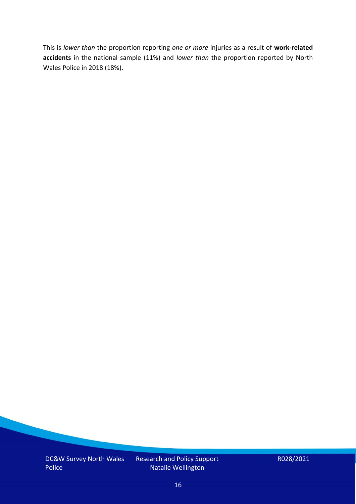This is *lower than* the proportion reporting *one or more* injuries as a result of **work-related accidents** in the national sample (11%) and *lower than* the proportion reported by North Wales Police in 2018 (18%).

DC&W Survey North Wales Police

Research and Policy Support Natalie Wellington

R028/2021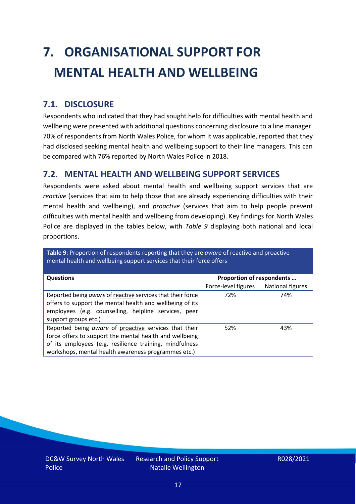# <span id="page-16-0"></span>**7. ORGANISATIONAL SUPPORT FOR MENTAL HEALTH AND WELLBEING**

### **7.1. DISCLOSURE**

Respondents who indicated that they had sought help for difficulties with mental health and wellbeing were presented with additional questions concerning disclosure to a line manager. 70% of respondents from North Wales Police, for whom it was applicable, reported that they had disclosed seeking mental health and wellbeing support to their line managers. This can be compared with 76% reported by North Wales Police in 2018.

#### **7.2. MENTAL HEALTH AND WELLBEING SUPPORT SERVICES**

Respondents were asked about mental health and wellbeing support services that are *reactive* (services that aim to help those that are already experiencing difficulties with their mental health and wellbeing), and *proactive* (services that aim to help people prevent difficulties with mental health and wellbeing from developing). Key findings for North Wales Police are displayed in the tables below, with *Table 9* displaying both national and local proportions.

**Table 9**: Proportion of respondents reporting that they are *aware* of reactive and proactive mental health and wellbeing support services that their force offers

| <b>Questions</b>                                                                                                                                                                                                                   | Proportion of respondents |                  |
|------------------------------------------------------------------------------------------------------------------------------------------------------------------------------------------------------------------------------------|---------------------------|------------------|
|                                                                                                                                                                                                                                    | Force-level figures       | National figures |
| Reported being aware of reactive services that their force<br>offers to support the mental health and wellbeing of its<br>employees (e.g. counselling, helpline services, peer<br>support groups etc.)                             | 72%                       | 74%              |
| Reported being aware of proactive services that their<br>force offers to support the mental health and wellbeing<br>of its employees (e.g. resilience training, mindfulness<br>workshops, mental health awareness programmes etc.) | 52%                       | 43%              |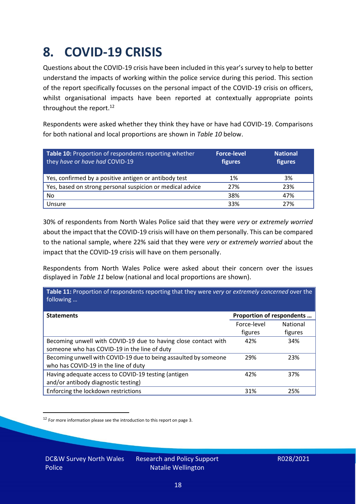### <span id="page-17-0"></span>**8. COVID-19 CRISIS**

Questions about the COVID-19 crisis have been included in this year's survey to help to better understand the impacts of working within the police service during this period. This section of the report specifically focusses on the personal impact of the COVID-19 crisis on officers, whilst organisational impacts have been reported at contextually appropriate points throughout the report.<sup>12</sup>

Respondents were asked whether they think they have or have had COVID-19. Comparisons for both national and local proportions are shown in *Table 10* below.

| Table 10: Proportion of respondents reporting whether<br>they have or have had COVID-19 | <b>Force-level</b><br>figures | <b>National</b><br>figures |
|-----------------------------------------------------------------------------------------|-------------------------------|----------------------------|
| Yes, confirmed by a positive antigen or antibody test                                   | 1%                            | 3%                         |
| Yes, based on strong personal suspicion or medical advice                               | 27%                           | 23%                        |
| No                                                                                      | 38%                           | 47%                        |
| Unsure                                                                                  | 33%                           | 27%                        |

30% of respondents from North Wales Police said that they were *very* or *extremely worried* about the impact that the COVID-19 crisis will have on them personally. This can be compared to the national sample, where 22% said that they were *very* or *extremely worried* about the impact that the COVID-19 crisis will have on them personally.

Respondents from North Wales Police were asked about their concern over the issues displayed in *Table 11* below (national and local proportions are shown).

| Table 11: Proportion of respondents reporting that they were very or extremely concerned over the<br>following |                           |                            |
|----------------------------------------------------------------------------------------------------------------|---------------------------|----------------------------|
| <b>Statements</b>                                                                                              | Proportion of respondents |                            |
|                                                                                                                | Force-level<br>figures    | <b>National</b><br>figures |
| Becoming unwell with COVID-19 due to having close contact with<br>someone who has COVID-19 in the line of duty | 42%                       | 34%                        |
| Becoming unwell with COVID-19 due to being assaulted by someone<br>who has COVID-19 in the line of duty        | 29%                       | 23%                        |
| Having adequate access to COVID-19 testing (antigen<br>and/or antibody diagnostic testing)                     | 42%                       | 37%                        |
| Enforcing the lockdown restrictions                                                                            | 31%                       | 25%                        |

<sup>12</sup> For more information please see the introduction to this report on page 3.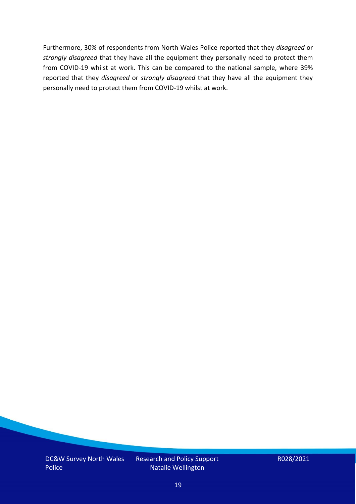Furthermore, 30% of respondents from North Wales Police reported that they *disagreed* or *strongly disagreed* that they have all the equipment they personally need to protect them from COVID-19 whilst at work. This can be compared to the national sample, where 39% reported that they *disagreed* or *strongly disagreed* that they have all the equipment they personally need to protect them from COVID-19 whilst at work.

DC&W Survey North Wales Police

Research and Policy Support Natalie Wellington

R028/2021